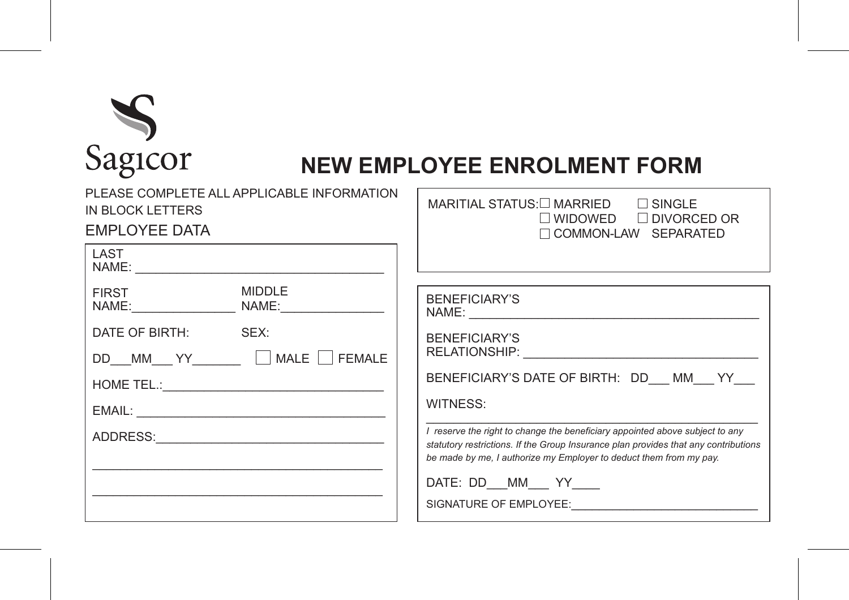

## **NEW EMPLOYEE ENROLMENT FORM**

| PLEASE COMPLETE ALL APPLICABLE INFORMATION<br>IN BLOCK LETTERS<br>EMPLOYEE DATA | MARITIAL STATUS:□ MARRIED<br>$\Box$ SINGLE<br>$\Box$ WIDOWED $\Box$ DIVORCED OR<br>COMMON-LAW SEPARATED                                                                                                                                                                                                                                                   |
|---------------------------------------------------------------------------------|-----------------------------------------------------------------------------------------------------------------------------------------------------------------------------------------------------------------------------------------------------------------------------------------------------------------------------------------------------------|
| LAST                                                                            |                                                                                                                                                                                                                                                                                                                                                           |
| <b>MIDDLE</b><br><b>FIRST</b><br>DATE OF BIRTH: SEX:<br><b>FEMALE</b>           | BENEFICIARY'S<br><b>BENEFICIARY'S</b><br>BENEFICIARY'S DATE OF BIRTH: DD MM YY<br>WITNESS:<br>I reserve the right to change the beneficiary appointed above subject to any<br>statutory restrictions. If the Group Insurance plan provides that any contributions<br>be made by me, I authorize my Employer to deduct them from my pay.<br>DATE: DD MM YY |
|                                                                                 | SIGNATURE OF EMPLOYEE:                                                                                                                                                                                                                                                                                                                                    |